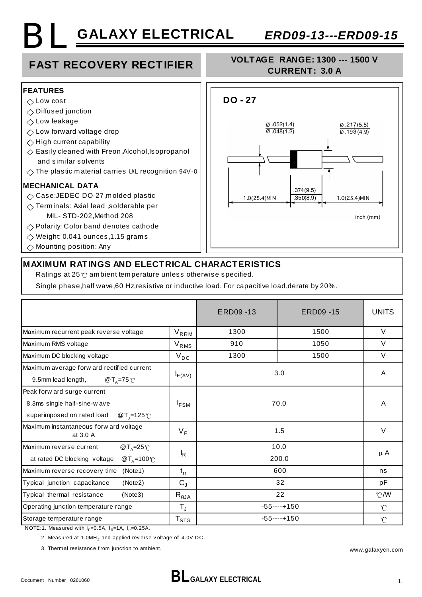## **GALAXY ELECTRICAL** *ERD09-13---ERD09-15* BL

### **FAST RECOVERY RECTIFIER**

#### **VOLTAGE RANGE: 1300 --- 1500 V CURRENT: 3.0 A**



 $\Diamond$  Mounting position: Any



#### **MAXIMUM RATINGS AND ELECTRICAL CHARACTERISTICS**

Ratings at 25 °C ambient temperature unless otherwise specified.

Single phase,half wave,60 Hz,resistive or inductive load. For capacitive load,derate by 20%.

|                                                                                                                                                                                                                                                                                                                                     |                             | ERD09-13       | ERD09-15 | <b>UNITS</b>    |
|-------------------------------------------------------------------------------------------------------------------------------------------------------------------------------------------------------------------------------------------------------------------------------------------------------------------------------------|-----------------------------|----------------|----------|-----------------|
| Maximum recurrent peak reverse voltage                                                                                                                                                                                                                                                                                              | $V_{RRM}$                   | 1300           | 1500     | $\vee$          |
| Maximum RMS voltage                                                                                                                                                                                                                                                                                                                 | $V_{RMS}$                   | 910            | 1050     | $\vee$          |
| Maximum DC blocking voltage                                                                                                                                                                                                                                                                                                         | $V_{DC}$                    | 1300           | 1500     | $\vee$          |
| Maximum average forw ard rectified current<br>9.5mm lead length,<br>$@T_{\Delta} = 75^{\circ}$                                                                                                                                                                                                                                      | $I_{F(AV)}$                 | 3.0            |          | A               |
| Peak forw ard surge current<br>8.3ms single half-sine-wave<br>superimposed on rated load<br>@ T <sub>1</sub> =125 ℃                                                                                                                                                                                                                 | $I_{FSM}$                   | 70.0           |          | A               |
| Maximum instantaneous forw ard voltage<br>at 3.0 A                                                                                                                                                                                                                                                                                  | V <sub>F</sub>              | 1.5            |          | $\vee$          |
| Maximum reverse current<br>@ $T_A = 25^\circ \text{C}$<br>@ $T_A = 100^{\circ}$ C<br>at rated DC blocking voltage                                                                                                                                                                                                                   | $I_R$                       | 10.0<br>200.0  |          | $\mu$ A         |
| (Note1)<br>Maximum reverse recovery time                                                                                                                                                                                                                                                                                            | $t_{rr}$                    | 600            |          | ns              |
| Typical junction capacitance<br>(Note2)                                                                                                                                                                                                                                                                                             | $C_{J}$                     | 32             |          | pF              |
| Typical thermal resistance<br>(Note3)                                                                                                                                                                                                                                                                                               | $R_{\theta}$ JA             | 22             |          | $^{\circ}$ C/W  |
| Operating junction temperature range                                                                                                                                                                                                                                                                                                | $T_{\rm J}$                 | $-55$ ----+150 |          | $\rm ^{\circ}C$ |
| Storage temperature range<br>$10754$ $M_{\odot}$ $M_{\odot}$ $M_{\odot}$ $M_{\odot}$ $R_{\odot}$ $M_{\odot}$ $R_{\odot}$ $R_{\odot}$ $R_{\odot}$ $R_{\odot}$ $R_{\odot}$ $R_{\odot}$ $R_{\odot}$ $R_{\odot}$ $R_{\odot}$ $R_{\odot}$ $R_{\odot}$ $R_{\odot}$ $R_{\odot}$ $R_{\odot}$ $R_{\odot}$ $R_{\odot}$ $R_{\odot}$ $R_{\odot$ | $\mathsf{T}_{\texttt{STG}}$ | $-55$ ----+150 |          | $\mathcal{C}$   |

NOTE:1. Measured with  $I_F=0.5A$ ,  $I_R=1A$ ,  $I_H=0.25A$ .

2. Measured at  $1.0$ MH<sub>z</sub> and applied rev erse v oltage of  $4.0$ V DC.

3. Thermal resistance f rom junction to ambient.

www.galaxycn.com